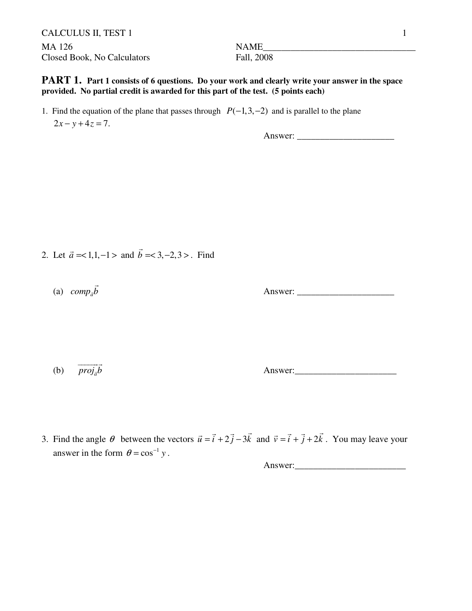CALCULUS II, TEST 1 1 MA 126 NAME\_\_\_\_\_\_\_\_\_\_\_\_\_\_\_\_\_\_\_\_\_\_\_\_\_\_\_\_\_\_\_\_\_ Closed Book, No Calculators Fall, 2008

**PART 1.** Part 1 consists of 6 questions. Do your work and clearly write your answer in the space **provided. No partial credit is awarded for this part of the test. (5 points each)**

1. Find the equation of the plane that passes through  $P(-1,3,-2)$  and is parallel to the plane  $2x - y + 4z = 7$ .

Answer: \_\_\_\_\_\_\_\_\_\_\_\_\_\_\_\_\_\_\_\_\_

- 2. Let  $\vec{a} = <1, 1, -1>$  and  $\vec{b} = <3, -2, 3>$ . Find
- (a)  $comp_{\vec{a}}\vec{b}$

Answer: \_\_\_\_\_\_\_\_\_\_\_\_\_\_\_\_\_\_\_\_\_

(b)  $\overrightarrow{proj_{\vec{a}}} \vec{b}$ 

Answer:

3. Find the angle  $\theta$  between the vectors  $\vec{u} = \vec{i} + 2\vec{j} - 3\vec{k}$  and  $\vec{v} = \vec{i} + \vec{j} + 2\vec{k}$ . You may leave your answer in the form  $\theta = \cos^{-1} y$ .

Answer:\_\_\_\_\_\_\_\_\_\_\_\_\_\_\_\_\_\_\_\_\_\_\_\_

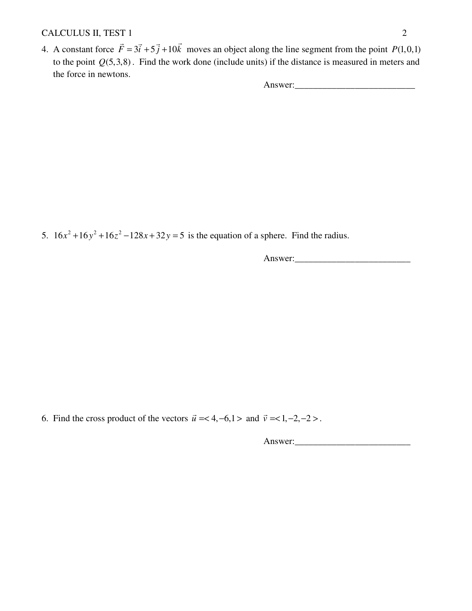### CALCULUS II, TEST 1 2

4. A constant force  $\vec{F} = 3\vec{i} + 5\vec{j} + 10\vec{k}$  moves an object along the line segment from the point  $P(1,0,1)$  to the point *Q*(5,3,8) . Find the work done (include units) if the distance is measured in meters and the force in newtons.

Answer:\_\_\_\_\_\_\_\_\_\_\_\_\_\_\_\_\_\_\_\_\_\_\_\_\_\_

5.  $16x^2 + 16y^2 + 16z^2 - 128x + 32y = 5$  is the equation of a sphere. Find the radius.

Answer:\_\_\_\_\_\_\_\_\_\_\_\_\_\_\_\_\_\_\_\_\_\_\_\_\_

6. Find the cross product of the vectors  $\vec{u} = < 4, -6, 1 >$  and  $\vec{v} = < 1, -2, -2 >$ .

Answer:\_\_\_\_\_\_\_\_\_\_\_\_\_\_\_\_\_\_\_\_\_\_\_\_\_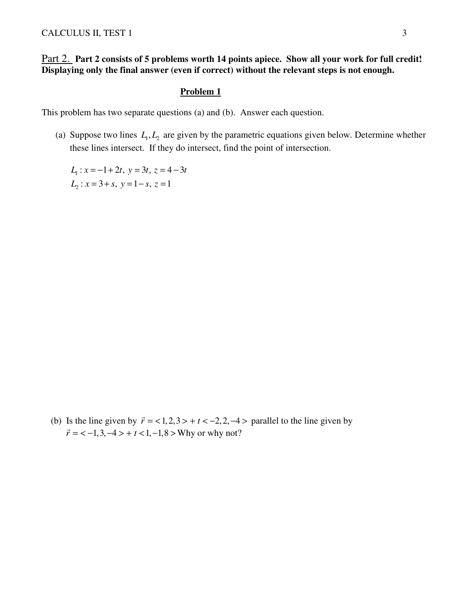### Part 2. **Part 2 consists of 5 problems worth 14 points apiece. Show all your work for full credit! Displaying only the final answer (even if correct) without the relevant steps is not enough.**

#### **Problem 1**

This problem has two separate questions (a) and (b). Answer each question.

(a) Suppose two lines  $L_1, L_2$  are given by the parametric equations given below. Determine whether these lines intersect. If they do intersect, find the point of intersection.

 $L_1: x = -1 + 2t, y = 3t, z = 4 - 3t$  $L_2$ :  $x = 3 + s$ ,  $y = 1 - s$ ,  $z = 1$ 

(b) Is the line given by  $\vec{r} = 1, 2, 3 > +t < -2, 2, -4 >$  parallel to the line given by  $\vec{r}$  = < -1,3, -4 > + t < 1, -1,8 > Why or why not?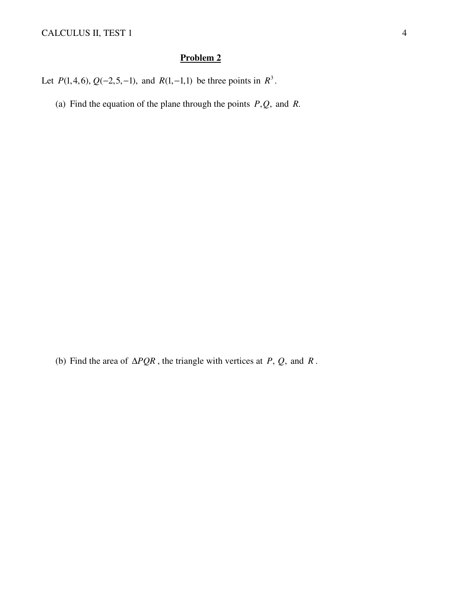Let *P*(1,4,6),  $Q(-2,5,-1)$ , and *R*(1,-1,1) be three points in  $R^3$ .

(a) Find the equation of the plane through the points  $P, Q$ , and  $R$ .

(b) Find the area of  $\triangle PQR$ , the triangle with vertices at *P*, *Q*, and *R*.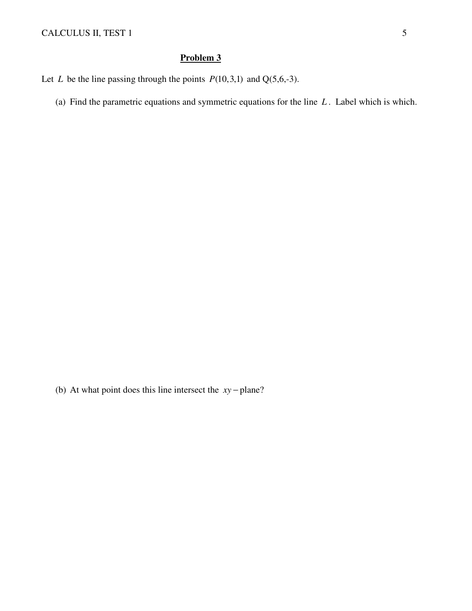(a) Find the parametric equations and symmetric equations for the line *L* . Label which is which.

(b) At what point does this line intersect the *xy* − plane?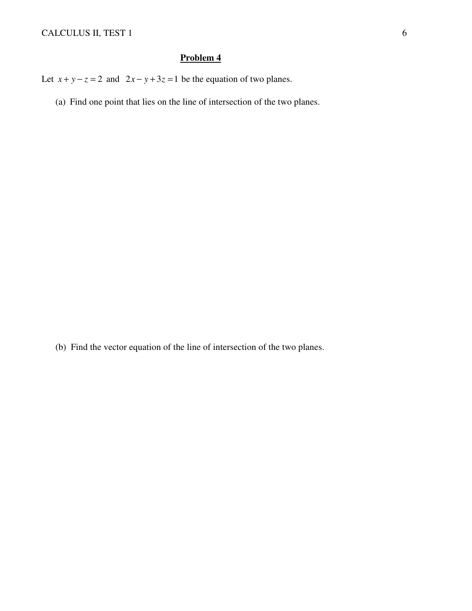Let  $x + y - z = 2$  and  $2x - y + 3z = 1$  be the equation of two planes.

(a) Find one point that lies on the line of intersection of the two planes.

(b) Find the vector equation of the line of intersection of the two planes.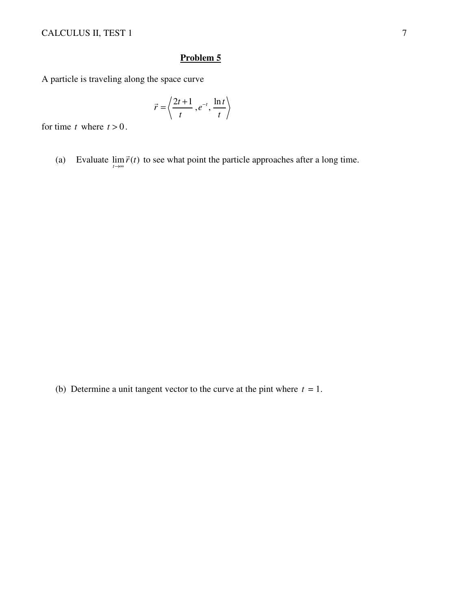A particle is traveling along the space curve

$$
\vec{r} = \left\langle \frac{2t+1}{t}, e^{-t}, \frac{\ln t}{t} \right\rangle
$$

for time *t* where  $t > 0$ .

(a) Evaluate  $\lim_{t \to \infty} \vec{r}(t)$  $\vec{r}(t)$  to see what point the particle approaches after a long time.

(b) Determine a unit tangent vector to the curve at the pint where  $t = 1$ .